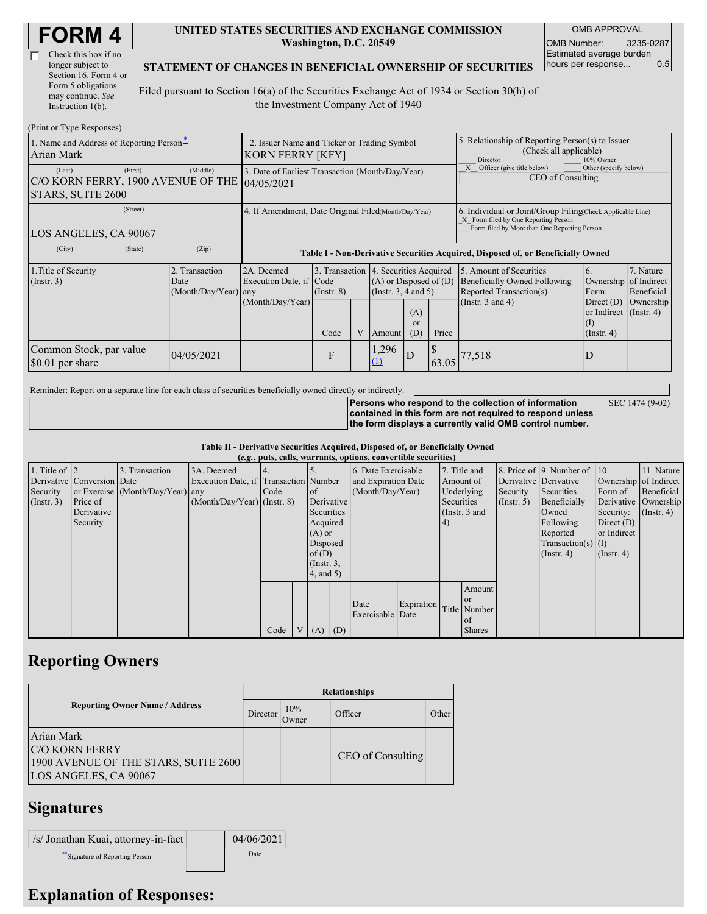| <b>FORM4</b> |
|--------------|
|--------------|

| Check this box if no  |
|-----------------------|
| longer subject to     |
| Section 16. Form 4 or |
| Form 5 obligations    |
| may continue. See     |
| Instruction 1(b).     |

#### **UNITED STATES SECURITIES AND EXCHANGE COMMISSION Washington, D.C. 20549**

OMB APPROVAL OMB Number: 3235-0287 Estimated average burden hours per response... 0.5

SEC 1474 (9-02)

#### **STATEMENT OF CHANGES IN BENEFICIAL OWNERSHIP OF SECURITIES**

Filed pursuant to Section 16(a) of the Securities Exchange Act of 1934 or Section 30(h) of the Investment Company Act of 1940

| (Print or Type Responses)                                                    |                                                                        |                                                           |                         |   |                                                                                                                                               |                                                                                                                                                    |                                                                                                     |                                                                                                             |                                                                                                                          |                                      |
|------------------------------------------------------------------------------|------------------------------------------------------------------------|-----------------------------------------------------------|-------------------------|---|-----------------------------------------------------------------------------------------------------------------------------------------------|----------------------------------------------------------------------------------------------------------------------------------------------------|-----------------------------------------------------------------------------------------------------|-------------------------------------------------------------------------------------------------------------|--------------------------------------------------------------------------------------------------------------------------|--------------------------------------|
| 1. Name and Address of Reporting Person-<br>Arian Mark                       | 2. Issuer Name and Ticker or Trading Symbol<br><b>KORN FERRY [KFY]</b> |                                                           |                         |   |                                                                                                                                               |                                                                                                                                                    | 5. Relationship of Reporting Person(s) to Issuer<br>(Check all applicable)<br>Director<br>10% Owner |                                                                                                             |                                                                                                                          |                                      |
| (First)<br>(Last)<br>C/O KORN FERRY, 1900 AVENUE OF THE<br>STARS, SUITE 2600 | 3. Date of Earliest Transaction (Month/Day/Year)<br>104/05/2021        |                                                           |                         |   |                                                                                                                                               |                                                                                                                                                    | Officer (give title below)<br>Other (specify below)<br>CEO of Consulting                            |                                                                                                             |                                                                                                                          |                                      |
| (Street)<br>LOS ANGELES, CA 90067                                            | 4. If Amendment, Date Original Filed(Month/Day/Year)                   |                                                           |                         |   |                                                                                                                                               | 6. Individual or Joint/Group Filing Check Applicable Line)<br>X Form filed by One Reporting Person<br>Form filed by More than One Reporting Person |                                                                                                     |                                                                                                             |                                                                                                                          |                                      |
| (City)<br>(State)                                                            | (Zip)                                                                  |                                                           |                         |   |                                                                                                                                               |                                                                                                                                                    |                                                                                                     | Table I - Non-Derivative Securities Acquired, Disposed of, or Beneficially Owned                            |                                                                                                                          |                                      |
| 1. Title of Security<br>(Insert. 3)                                          | 2. Transaction<br>Date<br>(Month/Day/Year) any                         | 2A. Deemed<br>Execution Date, if Code<br>(Month/Day/Year) | $($ Instr. $8)$<br>Code | V | 3. Transaction 4. Securities Acquired<br>$(A)$ or Disposed of $(D)$<br>(Insert. 3, 4 and 5)<br>(A)<br><sub>or</sub><br>Price<br>(D)<br>Amount |                                                                                                                                                    |                                                                                                     | 5. Amount of Securities<br>Beneficially Owned Following<br>Reported Transaction(s)<br>(Instr. $3$ and $4$ ) | 6.<br>Ownership of Indirect<br>Form:<br>Direct $(D)$<br>or Indirect $($ Instr. 4 $)$<br>$\rm _{(1)}$<br>$($ Instr. 4 $)$ | 7. Nature<br>Beneficial<br>Ownership |
| Common Stock, par value<br>\$0.01 per share                                  | 04/05/2021                                                             |                                                           | F                       |   | 1,296<br>D<br>$\left(1\right)$                                                                                                                |                                                                                                                                                    | 63.05                                                                                               | 77,518                                                                                                      | D                                                                                                                        |                                      |

Reminder: Report on a separate line for each class of securities beneficially owned directly or indirectly.

**Persons who respond to the collection of information contained in this form are not required to respond unless the form displays a currently valid OMB control number.**

**Table II - Derivative Securities Acquired, Disposed of, or Beneficially Owned**

|                        | (e.g., puts, calls, warrants, options, convertible securities) |                                  |                                       |      |  |                 |     |                     |            |            |               |                       |                              |                       |               |
|------------------------|----------------------------------------------------------------|----------------------------------|---------------------------------------|------|--|-----------------|-----|---------------------|------------|------------|---------------|-----------------------|------------------------------|-----------------------|---------------|
| 1. Title of $\vert$ 2. |                                                                | 3. Transaction                   | 3A. Deemed                            |      |  |                 |     | 6. Date Exercisable |            |            | 7. Title and  |                       | 8. Price of 9. Number of 10. |                       | 11. Nature    |
|                        | Derivative Conversion Date                                     |                                  | Execution Date, if Transaction Number |      |  |                 |     | and Expiration Date |            |            | Amount of     | Derivative Derivative |                              | Ownership of Indirect |               |
| Security               |                                                                | or Exercise (Month/Day/Year) any |                                       | Code |  | <sub>of</sub>   |     | (Month/Day/Year)    |            |            | Underlying    | Security              | Securities                   | Form of               | Beneficial    |
| $($ Instr. 3 $)$       | Price of                                                       |                                  | $(Month/Day/Year)$ (Instr. 8)         |      |  | Derivative      |     |                     |            | Securities |               | $($ Instr. 5)         | Beneficially                 | Derivative Ownership  |               |
|                        | Derivative                                                     |                                  |                                       |      |  | Securities      |     |                     |            |            | (Instr. 3 and |                       | Owned                        | Security:             | $($ Instr. 4) |
|                        | Security                                                       |                                  |                                       |      |  | Acquired        |     |                     |            | (4)        |               |                       | Following                    | Direct $(D)$          |               |
|                        |                                                                |                                  |                                       |      |  | $(A)$ or        |     |                     |            |            |               |                       | Reported                     | or Indirect           |               |
|                        |                                                                |                                  |                                       |      |  | Disposed        |     |                     |            |            |               |                       | $Transaction(s)$ (I)         |                       |               |
|                        |                                                                |                                  |                                       |      |  | of $(D)$        |     |                     |            |            |               |                       | $($ Instr. 4)                | $($ Instr. 4 $)$      |               |
|                        |                                                                |                                  |                                       |      |  | $($ Instr. $3,$ |     |                     |            |            |               |                       |                              |                       |               |
|                        |                                                                |                                  |                                       |      |  | $4$ , and $5$ ) |     |                     |            |            |               |                       |                              |                       |               |
|                        |                                                                |                                  |                                       |      |  |                 |     |                     |            |            | Amount        |                       |                              |                       |               |
|                        |                                                                |                                  |                                       |      |  |                 |     |                     |            |            | <sub>or</sub> |                       |                              |                       |               |
|                        |                                                                |                                  |                                       |      |  |                 |     | Date                | Expiration |            | Title Number  |                       |                              |                       |               |
|                        |                                                                |                                  |                                       |      |  |                 |     | Exercisable Date    |            |            | of            |                       |                              |                       |               |
|                        |                                                                |                                  |                                       | Code |  | (A)             | (D) |                     |            |            | <b>Shares</b> |                       |                              |                       |               |

### **Reporting Owners**

|                                                                                                      | <b>Relationships</b> |               |                   |       |  |  |  |  |  |
|------------------------------------------------------------------------------------------------------|----------------------|---------------|-------------------|-------|--|--|--|--|--|
| <b>Reporting Owner Name / Address</b>                                                                | Director             | 10%<br>Owner) | Officer           | Other |  |  |  |  |  |
| Arian Mark<br><b>C/O KORN FERRY</b><br>1900 AVENUE OF THE STARS, SUITE 2600<br>LOS ANGELES, CA 90067 |                      |               | CEO of Consulting |       |  |  |  |  |  |

## **Signatures**

| /s/ Jonathan Kuai, attorney-in-fact | 04/06/2021 |
|-------------------------------------|------------|
| ** Signature of Reporting Person    | Date       |

# **Explanation of Responses:**